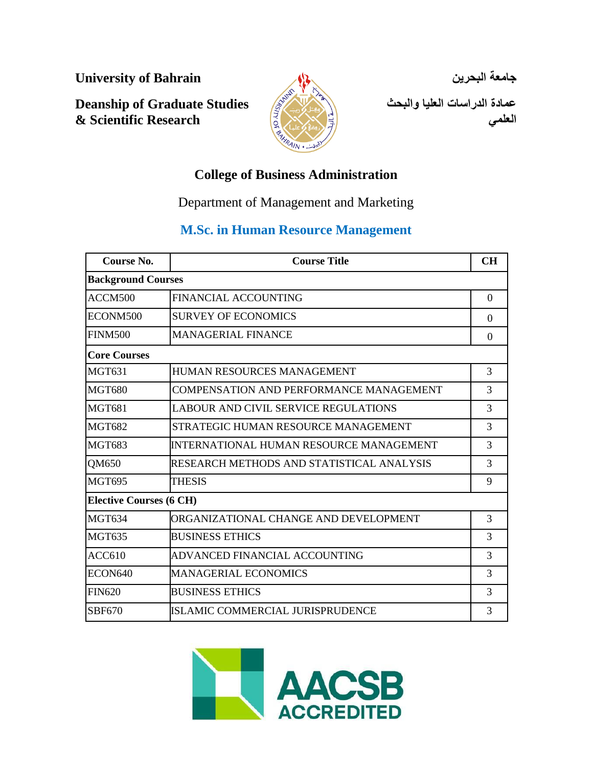**University of Bahrain**

**Deanship of Graduate Studies & Scientific Research**



**جامعة البحرين** 

**عمادة الدراسات العليا والبحث العلمي**

# **College of Business Administration**

Department of Management and Marketing

# **M.Sc. in Human Resource Management**

| Course No.                     | <b>Course Title</b>                       | CH       |
|--------------------------------|-------------------------------------------|----------|
| <b>Background Courses</b>      |                                           |          |
| ACCM500                        | FINANCIAL ACCOUNTING                      | $\Omega$ |
| ECONM500                       | <b>SURVEY OF ECONOMICS</b>                | $\Omega$ |
| <b>FINM500</b>                 | <b>MANAGERIAL FINANCE</b>                 | $\Omega$ |
| <b>Core Courses</b>            |                                           |          |
| <b>MGT631</b>                  | HUMAN RESOURCES MANAGEMENT                | 3        |
| <b>MGT680</b>                  | COMPENSATION AND PERFORMANCE MANAGEMENT   | 3        |
| <b>MGT681</b>                  | LABOUR AND CIVIL SERVICE REGULATIONS      | 3        |
| <b>MGT682</b>                  | STRATEGIC HUMAN RESOURCE MANAGEMENT       | 3        |
| <b>MGT683</b>                  | INTERNATIONAL HUMAN RESOURCE MANAGEMENT   | 3        |
| QM650                          | RESEARCH METHODS AND STATISTICAL ANALYSIS | 3        |
| <b>MGT695</b>                  | <b>THESIS</b>                             | 9        |
| <b>Elective Courses (6 CH)</b> |                                           |          |
| <b>MGT634</b>                  | ORGANIZATIONAL CHANGE AND DEVELOPMENT     | 3        |
| <b>MGT635</b>                  | <b>BUSINESS ETHICS</b>                    | 3        |
| ACC610                         | ADVANCED FINANCIAL ACCOUNTING             | 3        |
| ECON640                        | MANAGERIAL ECONOMICS                      | 3        |
| <b>FIN620</b>                  | <b>BUSINESS ETHICS</b>                    | 3        |
| SBF670                         | ISLAMIC COMMERCIAL JURISPRUDENCE          | 3        |

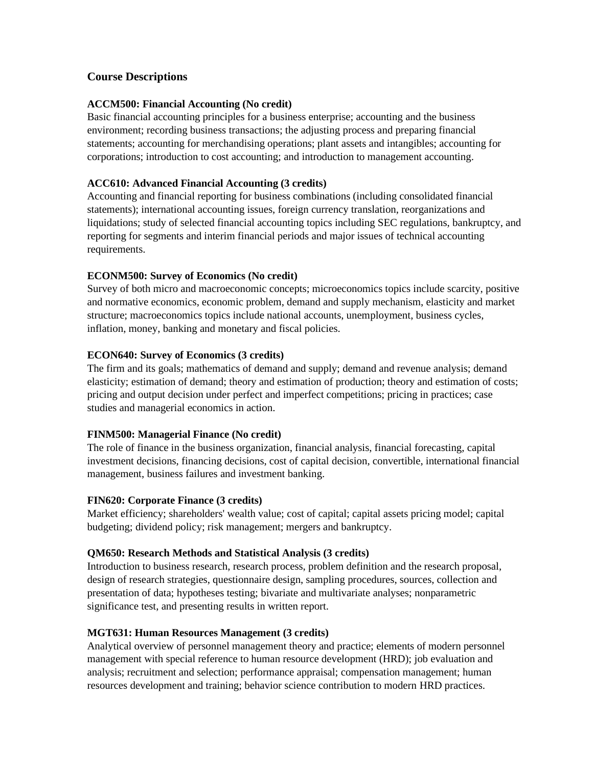# **Course Descriptions**

# **ACCM500: Financial Accounting (No credit)**

Basic financial accounting principles for a business enterprise; accounting and the business environment; recording business transactions; the adjusting process and preparing financial statements; accounting for merchandising operations; plant assets and intangibles; accounting for corporations; introduction to cost accounting; and introduction to management accounting.

#### **ACC610: Advanced Financial Accounting (3 credits)**

Accounting and financial reporting for business combinations (including consolidated financial statements); international accounting issues, foreign currency translation, reorganizations and liquidations; study of selected financial accounting topics including SEC regulations, bankruptcy, and reporting for segments and interim financial periods and major issues of technical accounting requirements.

# **ECONM500: Survey of Economics (No credit)**

Survey of both micro and macroeconomic concepts; microeconomics topics include scarcity, positive and normative economics, economic problem, demand and supply mechanism, elasticity and market structure; macroeconomics topics include national accounts, unemployment, business cycles, inflation, money, banking and monetary and fiscal policies.

# **ECON640: Survey of Economics (3 credits)**

The firm and its goals; mathematics of demand and supply; demand and revenue analysis; demand elasticity; estimation of demand; theory and estimation of production; theory and estimation of costs; pricing and output decision under perfect and imperfect competitions; pricing in practices; case studies and managerial economics in action.

#### **FINM500: Managerial Finance (No credit)**

The role of finance in the business organization, financial analysis, financial forecasting, capital investment decisions, financing decisions, cost of capital decision, convertible, international financial management, business failures and investment banking.

#### **FIN620: Corporate Finance (3 credits)**

Market efficiency; shareholders' wealth value; cost of capital; capital assets pricing model; capital budgeting; dividend policy; risk management; mergers and bankruptcy.

#### **QM650: Research Methods and Statistical Analysis (3 credits)**

Introduction to business research, research process, problem definition and the research proposal, design of research strategies, questionnaire design, sampling procedures, sources, collection and presentation of data; hypotheses testing; bivariate and multivariate analyses; nonparametric significance test, and presenting results in written report.

#### **MGT631: Human Resources Management (3 credits)**

Analytical overview of personnel management theory and practice; elements of modern personnel management with special reference to human resource development (HRD); job evaluation and analysis; recruitment and selection; performance appraisal; compensation management; human resources development and training; behavior science contribution to modern HRD practices.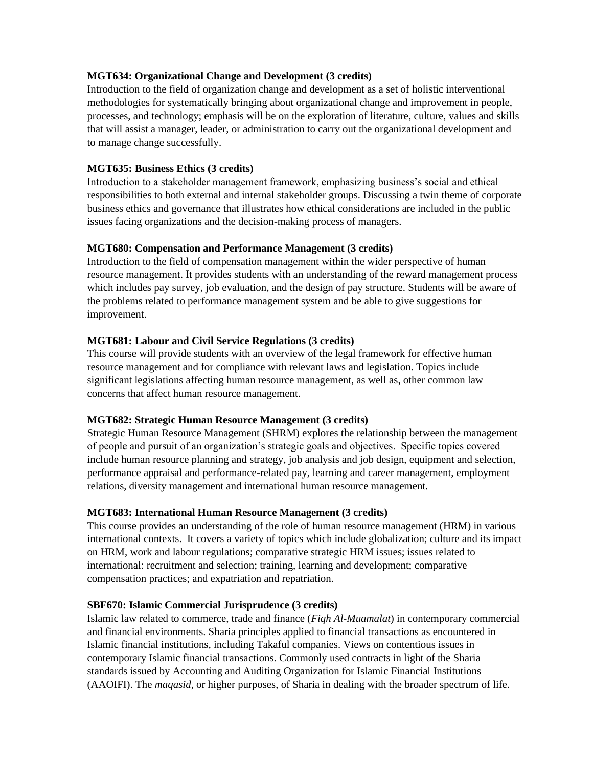#### **MGT634: Organizational Change and Development (3 credits)**

Introduction to the field of organization change and development as a set of holistic interventional methodologies for systematically bringing about organizational change and improvement in people, processes, and technology; emphasis will be on the exploration of literature, culture, values and skills that will assist a manager, leader, or administration to carry out the organizational development and to manage change successfully.

# **MGT635: Business Ethics (3 credits)**

Introduction to a stakeholder management framework, emphasizing business's social and ethical responsibilities to both external and internal stakeholder groups. Discussing a twin theme of corporate business ethics and governance that illustrates how ethical considerations are included in the public issues facing organizations and the decision-making process of managers.

# **MGT680: Compensation and Performance Management (3 credits)**

Introduction to the field of compensation management within the wider perspective of human resource management. It provides students with an understanding of the reward management process which includes pay survey, job evaluation, and the design of pay structure. Students will be aware of the problems related to performance management system and be able to give suggestions for improvement.

# **MGT681: Labour and Civil Service Regulations (3 credits)**

This course will provide students with an overview of the legal framework for effective human resource management and for compliance with relevant laws and legislation. Topics include significant legislations affecting human resource management, as well as, other common law concerns that affect human resource management.

#### **MGT682: Strategic Human Resource Management (3 credits)**

Strategic Human Resource Management (SHRM) explores the relationship between the management of people and pursuit of an organization's strategic goals and objectives. Specific topics covered include human resource planning and strategy, job analysis and job design, equipment and selection, performance appraisal and performance-related pay, learning and career management, employment relations, diversity management and international human resource management.

#### **MGT683: International Human Resource Management (3 credits)**

This course provides an understanding of the role of human resource management (HRM) in various international contexts. It covers a variety of topics which include globalization; culture and its impact on HRM, work and labour regulations; comparative strategic HRM issues; issues related to international: recruitment and selection; training, learning and development; comparative compensation practices; and expatriation and repatriation.

#### **SBF670: Islamic Commercial Jurisprudence (3 credits)**

Islamic law related to commerce, trade and finance (*Fiqh Al-Muamalat*) in contemporary commercial and financial environments. Sharia principles applied to financial transactions as encountered in Islamic financial institutions, including Takaful companies. Views on contentious issues in contemporary Islamic financial transactions. Commonly used contracts in light of the Sharia standards issued by Accounting and Auditing Organization for Islamic Financial Institutions (AAOIFI). The *maqasid*, or higher purposes, of Sharia in dealing with the broader spectrum of life.